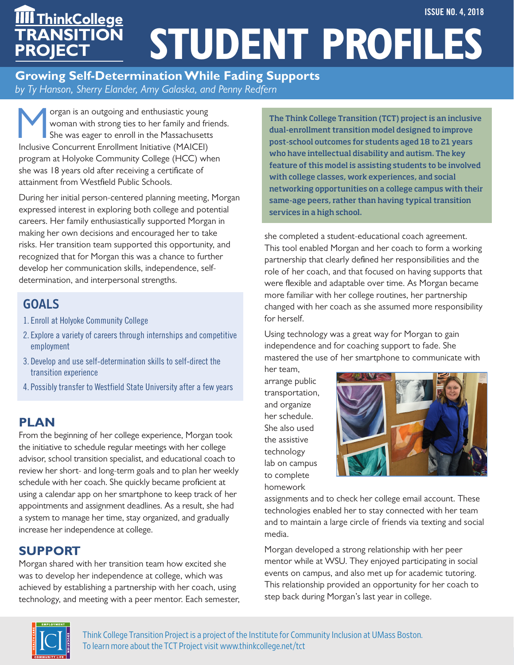#### **STUDENT PROFILES ISSUE NO. 4, 2018 TRANSITION PROJECT** <u>ThinkCollege</u>

**Growing Self-Determination While Fading Supports** *by Ty Hanson, Sherry Elander, Amy Galaska, and Penny Redfern*

Solar Is an outgoing and enthusiastic young<br>
Woman with strong ties to her family and fri<br>
She was eager to enroll in the Massachusett<br>
locking Consument Enrollment Initiative (MAICEL) woman with strong ties to her family and friends. She was eager to enroll in the Massachusetts Inclusive Concurrent Enrollment Initiative (MAICEI) program at Holyoke Community College (HCC) when she was 18 years old after receiving a certificate of attainment from Westfield Public Schools.

During her initial person-centered planning meeting, Morgan expressed interest in exploring both college and potential careers. Her family enthusiastically supported Morgan in making her own decisions and encouraged her to take risks. Her transition team supported this opportunity, and recognized that for Morgan this was a chance to further develop her communication skills, independence, selfdetermination, and interpersonal strengths.

# GOALS

- 1. Enroll at Holyoke Community College
- 2. Explore a variety of careers through internships and competitive employment
- 3. Develop and use self-determination skills to self-direct the transition experience
- 4. Possibly transfer to Westfield State University after a few years

## **PLAN**

From the beginning of her college experience, Morgan took the initiative to schedule regular meetings with her college advisor, school transition specialist, and educational coach to review her short- and long-term goals and to plan her weekly schedule with her coach. She quickly became proficient at using a calendar app on her smartphone to keep track of her appointments and assignment deadlines. As a result, she had a system to manage her time, stay organized, and gradually increase her independence at college.

## **SUPPORT**

Morgan shared with her transition team how excited she was to develop her independence at college, which was achieved by establishing a partnership with her coach, using technology, and meeting with a peer mentor. Each semester, The Think College Transition (TCT) project is an inclusive dual-enrollment transition model designed to improve post-school outcomes for students aged 18 to 21 years who have intellectual disability and autism. The key feature of this model is assisting students to be involved with college classes, work experiences, and social networking opportunities on a college campus with their same-age peers, rather than having typical transition services in a high school.

she completed a student-educational coach agreement. This tool enabled Morgan and her coach to form a working partnership that clearly defined her responsibilities and the role of her coach, and that focused on having supports that were flexible and adaptable over time. As Morgan became more familiar with her college routines, her partnership changed with her coach as she assumed more responsibility for herself.

Using technology was a great way for Morgan to gain independence and for coaching support to fade. She mastered the use of her smartphone to communicate with

her team, arrange public transportation, and organize her schedule. She also used the assistive technology lab on campus to complete homework



assignments and to check her college email account. These technologies enabled her to stay connected with her team and to maintain a large circle of friends via texting and social media.

Morgan developed a strong relationship with her peer mentor while at WSU. They enjoyed participating in social events on campus, and also met up for academic tutoring. This relationship provided an opportunity for her coach to step back during Morgan's last year in college.